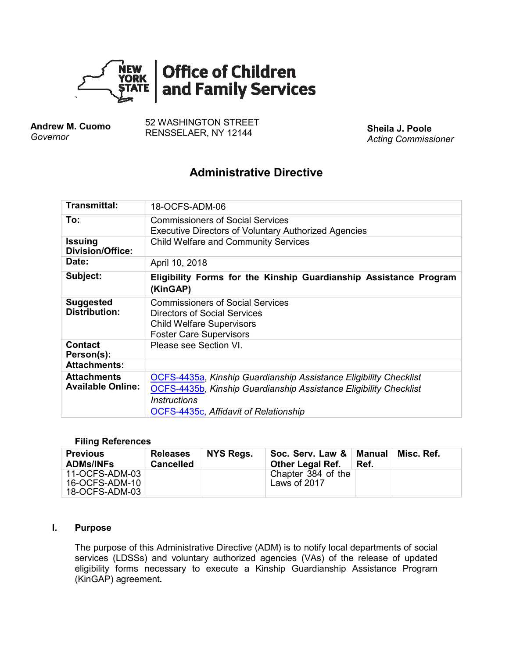

**Andrew M. Cuomo** *Governor*

52 WASHINGTON STREET RENSSELAER, NY 12144 **Sheila J. Poole**

*Acting Commissioner*

# **Administrative Directive**

| <b>Transmittal:</b>                            | 18-OCFS-ADM-06                                                                                                                                                                                                |  |  |  |  |
|------------------------------------------------|---------------------------------------------------------------------------------------------------------------------------------------------------------------------------------------------------------------|--|--|--|--|
| To:                                            | <b>Commissioners of Social Services</b><br><b>Executive Directors of Voluntary Authorized Agencies</b>                                                                                                        |  |  |  |  |
| <b>Issuing</b><br><b>Division/Office:</b>      | <b>Child Welfare and Community Services</b>                                                                                                                                                                   |  |  |  |  |
| Date:                                          | April 10, 2018                                                                                                                                                                                                |  |  |  |  |
| Subject:                                       | Eligibility Forms for the Kinship Guardianship Assistance Program<br>(KinGAP)                                                                                                                                 |  |  |  |  |
| <b>Suggested</b><br><b>Distribution:</b>       | <b>Commissioners of Social Services</b><br>Directors of Social Services<br><b>Child Welfare Supervisors</b><br><b>Foster Care Supervisors</b>                                                                 |  |  |  |  |
| <b>Contact</b><br>Person(s):                   | Please see Section VI.                                                                                                                                                                                        |  |  |  |  |
| <b>Attachments:</b>                            |                                                                                                                                                                                                               |  |  |  |  |
| <b>Attachments</b><br><b>Available Online:</b> | OCFS-4435a, Kinship Guardianship Assistance Eligibility Checklist<br>OCFS-4435b, Kinship Guardianship Assistance Eligibility Checklist<br><b>Instructions</b><br><b>OCFS-4435c, Affidavit of Relationship</b> |  |  |  |  |

#### **Filing References**

| <b>Previous</b>  | <b>Releases</b>  | NYS Regs. | Soc. Serv. Law &        | Manual | Misc. Ref. |
|------------------|------------------|-----------|-------------------------|--------|------------|
| <b>ADMs/INFs</b> | <b>Cancelled</b> |           | <b>Other Legal Ref.</b> | Ref.   |            |
| 11-OCFS-ADM-03   |                  |           | Chapter 384 of the      |        |            |
| 16-OCFS-ADM-10   |                  |           | Laws of 2017            |        |            |
| 18-OCFS-ADM-03   |                  |           |                         |        |            |

#### **I. Purpose**

The purpose of this Administrative Directive (ADM) is to notify local departments of social services (LDSSs) and voluntary authorized agencies (VAs) of the release of updated eligibility forms necessary to execute a Kinship Guardianship Assistance Program (KinGAP) agreement*.*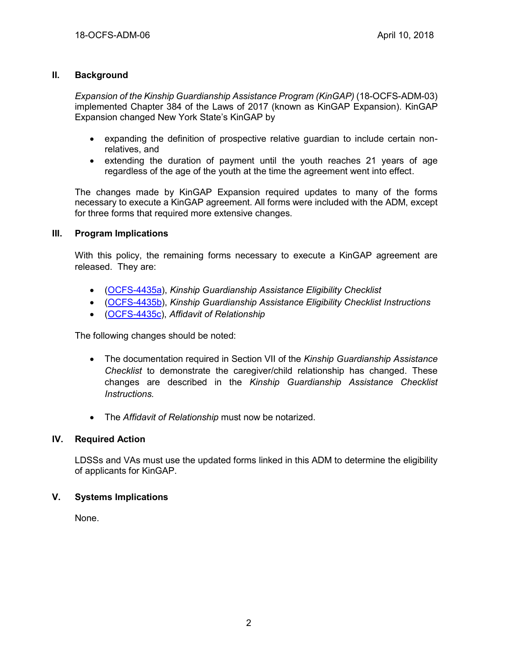## **II. Background**

*Expansion of the Kinship Guardianship Assistance Program (KinGAP)* (18-OCFS-ADM-03) implemented Chapter 384 of the Laws of 2017 (known as KinGAP Expansion). KinGAP Expansion changed New York State's KinGAP by

- expanding the definition of prospective relative guardian to include certain nonrelatives, and
- extending the duration of payment until the youth reaches 21 years of age regardless of the age of the youth at the time the agreement went into effect.

The changes made by KinGAP Expansion required updates to many of the forms necessary to execute a KinGAP agreement. All forms were included with the ADM, except for three forms that required more extensive changes.

#### **III. Program Implications**

With this policy, the remaining forms necessary to execute a KinGAP agreement are released. They are:

- [\(OCFS-4435a\)](http://ocfs.state.nyenet/admin/forms/kinship/), *Kinship Guardianship Assistance Eligibility Checklist*
- [\(OCFS-4435b\)](http://ocfs.state.nyenet/admin/forms/kinship/), *Kinship Guardianship Assistance Eligibility Checklist Instructions*
- [\(OCFS-4435c\)](http://ocfs.state.nyenet/admin/forms/kinship/), *Affidavit of Relationship*

The following changes should be noted:

- The documentation required in Section VII of the *Kinship Guardianship Assistance Checklist* to demonstrate the caregiver/child relationship has changed. These changes are described in the *Kinship Guardianship Assistance Checklist Instructions.*
- The *Affidavit of Relationship* must now be notarized.

## **IV. Required Action**

LDSSs and VAs must use the updated forms linked in this ADM to determine the eligibility of applicants for KinGAP.

## **V. Systems Implications**

None.